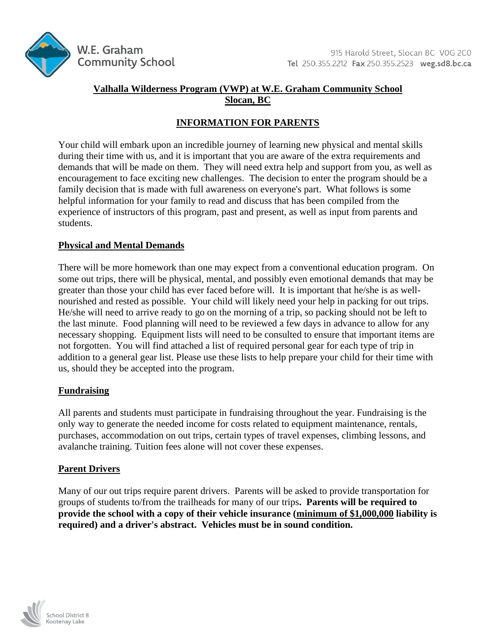

## **Valhalla Wilderness Program (VWP) at W.E. Graham Community School Slocan, BC**

# **INFORMATION FOR PARENTS**

Your child will embark upon an incredible journey of learning new physical and mental skills during their time with us, and it is important that you are aware of the extra requirements and demands that will be made on them. They will need extra help and support from you, as well as encouragement to face exciting new challenges. The decision to enter the program should be a family decision that is made with full awareness on everyone's part. What follows is some helpful information for your family to read and discuss that has been compiled from the experience of instructors of this program, past and present, as well as input from parents and students.

### **Physical and Mental Demands**

There will be more homework than one may expect from a conventional education program. On some out trips, there will be physical, mental, and possibly even emotional demands that may be greater than those your child has ever faced before will. It is important that he/she is as wellnourished and rested as possible. Your child will likely need your help in packing for out trips. He/she will need to arrive ready to go on the morning of a trip, so packing should not be left to the last minute. Food planning will need to be reviewed a few days in advance to allow for any necessary shopping. Equipment lists will need to be consulted to ensure that important items are not forgotten. You will find attached a list of required personal gear for each type of trip in addition to a general gear list. Please use these lists to help prepare your child for their time with us, should they be accepted into the program.

### **Fundraising**

All parents and students must participate in fundraising throughout the year. Fundraising is the only way to generate the needed income for costs related to equipment maintenance, rentals, purchases, accommodation on out trips, certain types of travel expenses, climbing lessons, and avalanche training. Tuition fees alone will not cover these expenses.

### **Parent Drivers**

Many of our out trips require parent drivers. Parents will be asked to provide transportation for groups of students to/from the trailheads for many of our trips**. Parents will be required to provide the school with a copy of their vehicle insurance (minimum of \$1,000,000 liability is required) and a driver's abstract. Vehicles must be in sound condition.**